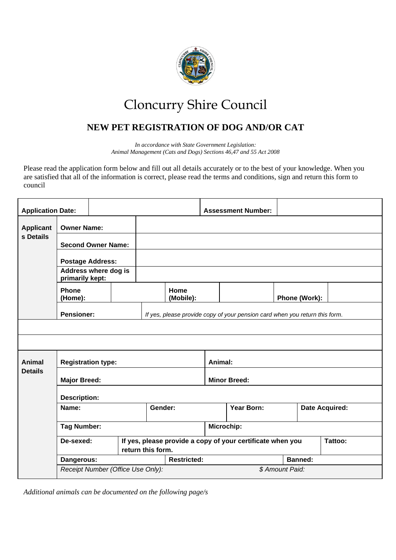

## Cloncurry Shire Council

## **NEW PET REGISTRATION OF DOG AND/OR CAT**

*In accordance with State Government Legislation: Animal Management (Cats and Dogs) Sections 46,47 and 55 Act 2008*

Please read the application form below and fill out all details accurately or to the best of your knowledge. When you are satisfied that all of the information is correct, please read the terms and conditions, sign and return this form to council

| <b>Application Date:</b> |                                                                                                  |                                |  |                    |            |                                                            | <b>Assessment Number:</b> |  |                       |  |
|--------------------------|--------------------------------------------------------------------------------------------------|--------------------------------|--|--------------------|------------|------------------------------------------------------------|---------------------------|--|-----------------------|--|
| <b>Applicant</b>         | <b>Owner Name:</b>                                                                               |                                |  |                    |            |                                                            |                           |  |                       |  |
| s Details                | <b>Second Owner Name:</b>                                                                        |                                |  |                    |            |                                                            |                           |  |                       |  |
|                          | <b>Postage Address:</b>                                                                          |                                |  |                    |            |                                                            |                           |  |                       |  |
|                          | Address where dog is<br>primarily kept:                                                          |                                |  |                    |            |                                                            |                           |  |                       |  |
|                          | <b>Phone</b><br>(Home):                                                                          |                                |  | Home<br>(Mobile):  |            |                                                            | Phone (Work):             |  |                       |  |
|                          | <b>Pensioner:</b><br>If yes, please provide copy of your pension card when you return this form. |                                |  |                    |            |                                                            |                           |  |                       |  |
|                          |                                                                                                  |                                |  |                    |            |                                                            |                           |  |                       |  |
|                          |                                                                                                  |                                |  |                    |            |                                                            |                           |  |                       |  |
| Animal<br><b>Details</b> | <b>Registration type:</b>                                                                        |                                |  |                    |            | Animal:                                                    |                           |  |                       |  |
|                          | <b>Major Breed:</b>                                                                              |                                |  |                    |            | <b>Minor Breed:</b>                                        |                           |  |                       |  |
|                          | <b>Description:</b>                                                                              |                                |  |                    |            |                                                            |                           |  |                       |  |
|                          | Name:                                                                                            |                                |  | Gender:            |            |                                                            | Year Born:                |  | <b>Date Acquired:</b> |  |
|                          | <b>Tag Number:</b>                                                                               |                                |  |                    | Microchip: |                                                            |                           |  |                       |  |
|                          |                                                                                                  | De-sexed:<br>return this form. |  |                    |            | If yes, please provide a copy of your certificate when you |                           |  | Tattoo:               |  |
|                          | Dangerous:                                                                                       |                                |  | <b>Restricted:</b> |            |                                                            | <b>Banned:</b>            |  |                       |  |
|                          | Receipt Number (Office Use Only):                                                                |                                |  |                    |            | \$ Amount Paid:                                            |                           |  |                       |  |

*Additional animals can be documented on the following page/s*